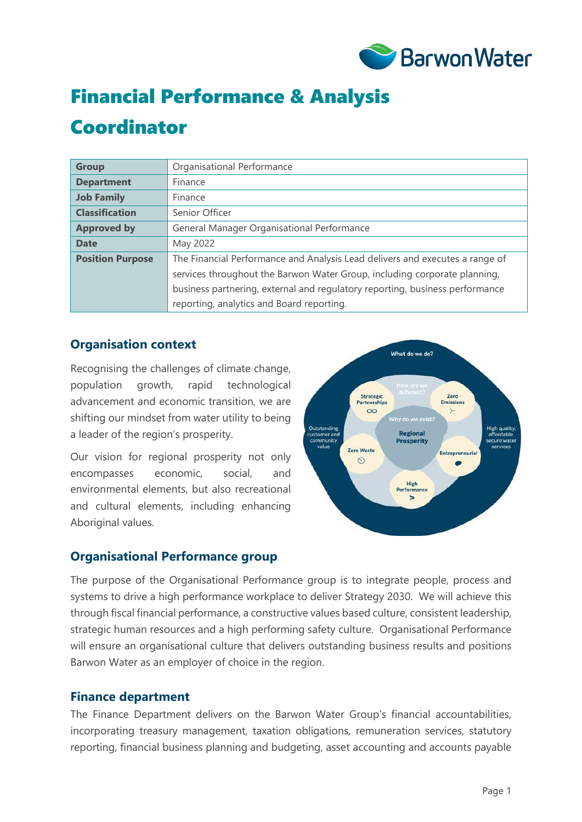

# Financial Performance & Analysis

# Coordinator

| <b>Group</b>            | Organisational Performance                                                   |
|-------------------------|------------------------------------------------------------------------------|
| <b>Department</b>       | Finance                                                                      |
| <b>Job Family</b>       | Finance                                                                      |
| <b>Classification</b>   | Senior Officer                                                               |
| <b>Approved by</b>      | General Manager Organisational Performance                                   |
| <b>Date</b>             | May 2022                                                                     |
| <b>Position Purpose</b> | The Financial Performance and Analysis Lead delivers and executes a range of |
|                         | services throughout the Barwon Water Group, including corporate planning,    |
|                         | business partnering, external and regulatory reporting, business performance |
|                         | reporting, analytics and Board reporting.                                    |

#### **Organisation context**

Recognising the challenges of climate change, population growth, rapid technological advancement and economic transition, we are shifting our mindset from water utility to being a leader of the region's prosperity.

Our vision for regional prosperity not only encompasses economic, social, and environmental elements, but also recreational and cultural elements, including enhancing Aboriginal values.



## **Organisational Performance group**

The purpose of the Organisational Performance group is to integrate people, process and systems to drive a high performance workplace to deliver Strategy 2030. We will achieve this through fiscal financial performance, a constructive values based culture, consistent leadership, strategic human resources and a high performing safety culture. Organisational Performance will ensure an organisational culture that delivers outstanding business results and positions Barwon Water as an employer of choice in the region.

#### **Finance department**

The Finance Department delivers on the Barwon Water Group's financial accountabilities, incorporating treasury management, taxation obligations, remuneration services, statutory reporting, financial business planning and budgeting, asset accounting and accounts payable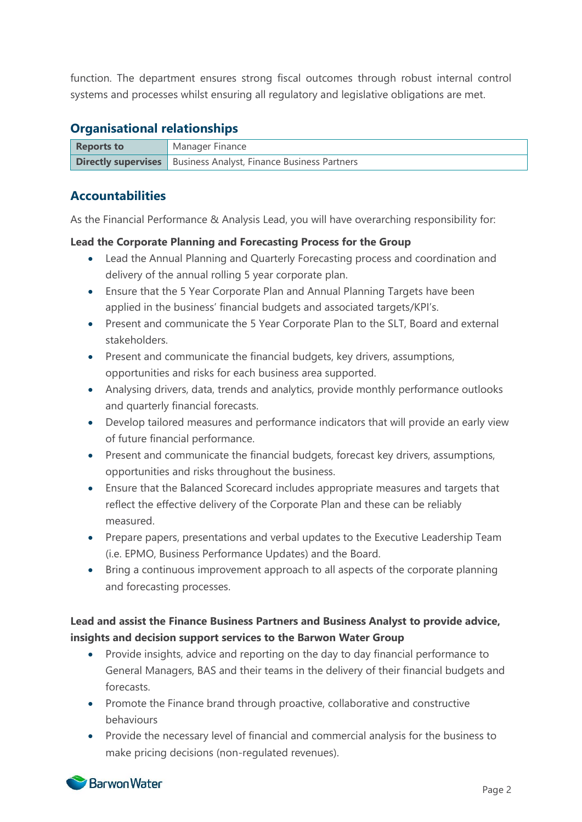function. The department ensures strong fiscal outcomes through robust internal control systems and processes whilst ensuring all regulatory and legislative obligations are met.

#### **Organisational relationships**

| <b>Reports to</b> | 'Manager Finance                                                         |
|-------------------|--------------------------------------------------------------------------|
|                   | <b>Directly supervises</b>   Business Analyst, Finance Business Partners |

## **Accountabilities**

As the Financial Performance & Analysis Lead, you will have overarching responsibility for:

#### **Lead the Corporate Planning and Forecasting Process for the Group**

- Lead the Annual Planning and Quarterly Forecasting process and coordination and delivery of the annual rolling 5 year corporate plan.
- Ensure that the 5 Year Corporate Plan and Annual Planning Targets have been applied in the business' financial budgets and associated targets/KPI's.
- Present and communicate the 5 Year Corporate Plan to the SLT, Board and external stakeholders.
- Present and communicate the financial budgets, key drivers, assumptions, opportunities and risks for each business area supported.
- Analysing drivers, data, trends and analytics, provide monthly performance outlooks and quarterly financial forecasts.
- Develop tailored measures and performance indicators that will provide an early view of future financial performance.
- Present and communicate the financial budgets, forecast key drivers, assumptions, opportunities and risks throughout the business.
- Ensure that the Balanced Scorecard includes appropriate measures and targets that reflect the effective delivery of the Corporate Plan and these can be reliably measured.
- Prepare papers, presentations and verbal updates to the Executive Leadership Team (i.e. EPMO, Business Performance Updates) and the Board.
- Bring a continuous improvement approach to all aspects of the corporate planning and forecasting processes.

#### **Lead and assist the Finance Business Partners and Business Analyst to provide advice, insights and decision support services to the Barwon Water Group**

- Provide insights, advice and reporting on the day to day financial performance to General Managers, BAS and their teams in the delivery of their financial budgets and forecasts.
- Promote the Finance brand through proactive, collaborative and constructive behaviours
- Provide the necessary level of financial and commercial analysis for the business to make pricing decisions (non-regulated revenues).

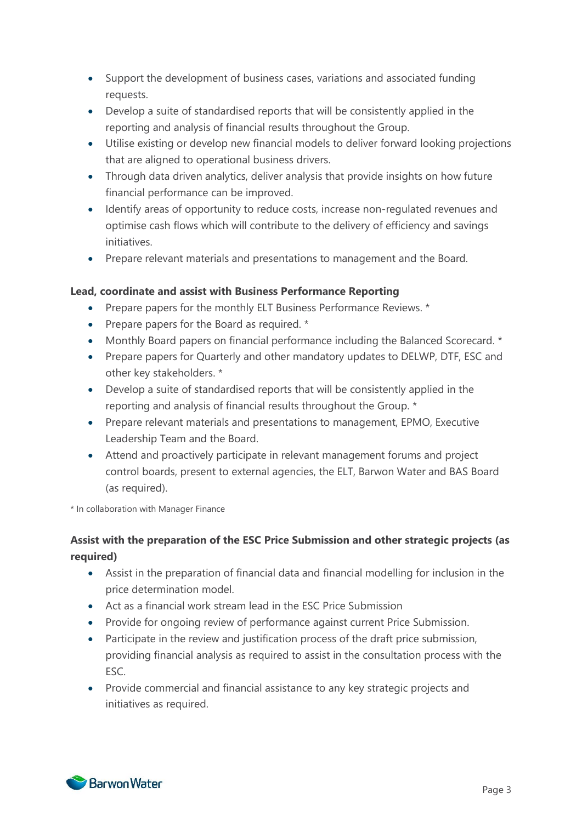- Support the development of business cases, variations and associated funding requests.
- Develop a suite of standardised reports that will be consistently applied in the reporting and analysis of financial results throughout the Group.
- Utilise existing or develop new financial models to deliver forward looking projections that are aligned to operational business drivers.
- Through data driven analytics, deliver analysis that provide insights on how future financial performance can be improved.
- Identify areas of opportunity to reduce costs, increase non-regulated revenues and optimise cash flows which will contribute to the delivery of efficiency and savings initiatives.
- Prepare relevant materials and presentations to management and the Board.

#### **Lead, coordinate and assist with Business Performance Reporting**

- Prepare papers for the monthly ELT Business Performance Reviews. \*
- Prepare papers for the Board as required. \*
- Monthly Board papers on financial performance including the Balanced Scorecard. \*
- Prepare papers for Quarterly and other mandatory updates to DELWP, DTF, ESC and other key stakeholders. \*
- Develop a suite of standardised reports that will be consistently applied in the reporting and analysis of financial results throughout the Group. \*
- Prepare relevant materials and presentations to management, EPMO, Executive Leadership Team and the Board.
- Attend and proactively participate in relevant management forums and project control boards, present to external agencies, the ELT, Barwon Water and BAS Board (as required).

\* In collaboration with Manager Finance

#### **Assist with the preparation of the ESC Price Submission and other strategic projects (as required)**

- Assist in the preparation of financial data and financial modelling for inclusion in the price determination model.
- Act as a financial work stream lead in the ESC Price Submission
- Provide for ongoing review of performance against current Price Submission.
- Participate in the review and justification process of the draft price submission, providing financial analysis as required to assist in the consultation process with the ESC.
- Provide commercial and financial assistance to any key strategic projects and initiatives as required.

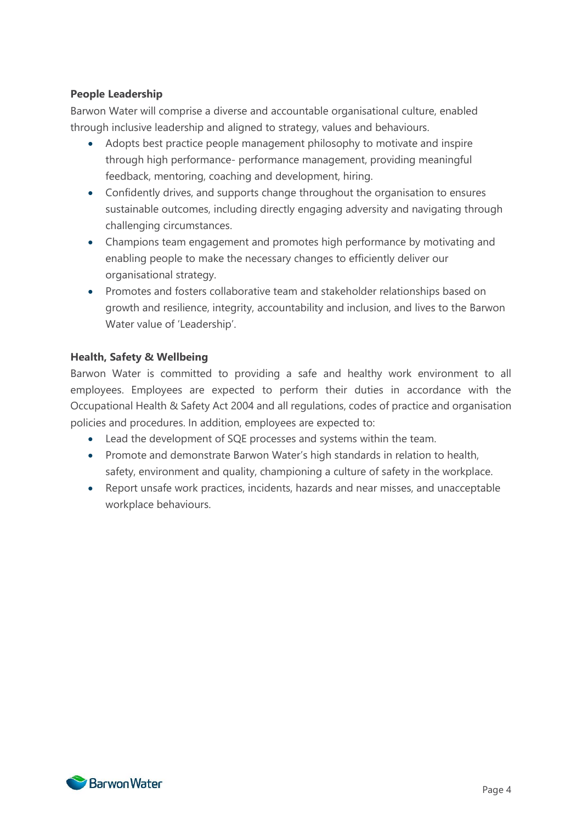#### **People Leadership**

Barwon Water will comprise a diverse and accountable organisational culture, enabled through inclusive leadership and aligned to strategy, values and behaviours.

- Adopts best practice people management philosophy to motivate and inspire through high performance- performance management, providing meaningful feedback, mentoring, coaching and development, hiring.
- Confidently drives, and supports change throughout the organisation to ensures sustainable outcomes, including directly engaging adversity and navigating through challenging circumstances.
- Champions team engagement and promotes high performance by motivating and enabling people to make the necessary changes to efficiently deliver our organisational strategy.
- Promotes and fosters collaborative team and stakeholder relationships based on growth and resilience, integrity, accountability and inclusion, and lives to the Barwon Water value of 'Leadership'.

#### **Health, Safety & Wellbeing**

Barwon Water is committed to providing a safe and healthy work environment to all employees. Employees are expected to perform their duties in accordance with the Occupational Health & Safety Act 2004 and all regulations, codes of practice and organisation policies and procedures. In addition, employees are expected to:

- Lead the development of SQE processes and systems within the team.
- Promote and demonstrate Barwon Water's high standards in relation to health, safety, environment and quality, championing a culture of safety in the workplace.
- Report unsafe work practices, incidents, hazards and near misses, and unacceptable workplace behaviours.

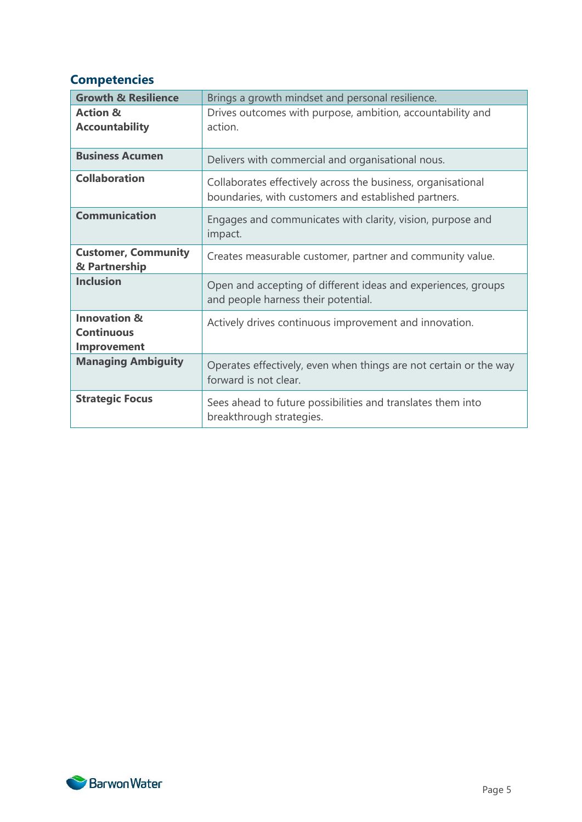## **Competencies**

| <b>Growth &amp; Resilience</b> | Brings a growth mindset and personal resilience.                  |  |
|--------------------------------|-------------------------------------------------------------------|--|
|                                |                                                                   |  |
| <b>Action &amp;</b>            | Drives outcomes with purpose, ambition, accountability and        |  |
| <b>Accountability</b>          | action.                                                           |  |
|                                |                                                                   |  |
| <b>Business Acumen</b>         | Delivers with commercial and organisational nous.                 |  |
| <b>Collaboration</b>           | Collaborates effectively across the business, organisational      |  |
|                                | boundaries, with customers and established partners.              |  |
| <b>Communication</b>           | Engages and communicates with clarity, vision, purpose and        |  |
|                                |                                                                   |  |
|                                | impact.                                                           |  |
| <b>Customer, Community</b>     | Creates measurable customer, partner and community value.         |  |
| & Partnership                  |                                                                   |  |
| <b>Inclusion</b>               |                                                                   |  |
|                                | Open and accepting of different ideas and experiences, groups     |  |
|                                | and people harness their potential.                               |  |
| <b>Innovation &amp;</b>        |                                                                   |  |
|                                | Actively drives continuous improvement and innovation.            |  |
| <b>Continuous</b>              |                                                                   |  |
| Improvement                    |                                                                   |  |
| <b>Managing Ambiguity</b>      | Operates effectively, even when things are not certain or the way |  |
|                                | forward is not clear.                                             |  |
|                                |                                                                   |  |
| <b>Strategic Focus</b>         | Sees ahead to future possibilities and translates them into       |  |
|                                |                                                                   |  |
|                                | breakthrough strategies.                                          |  |

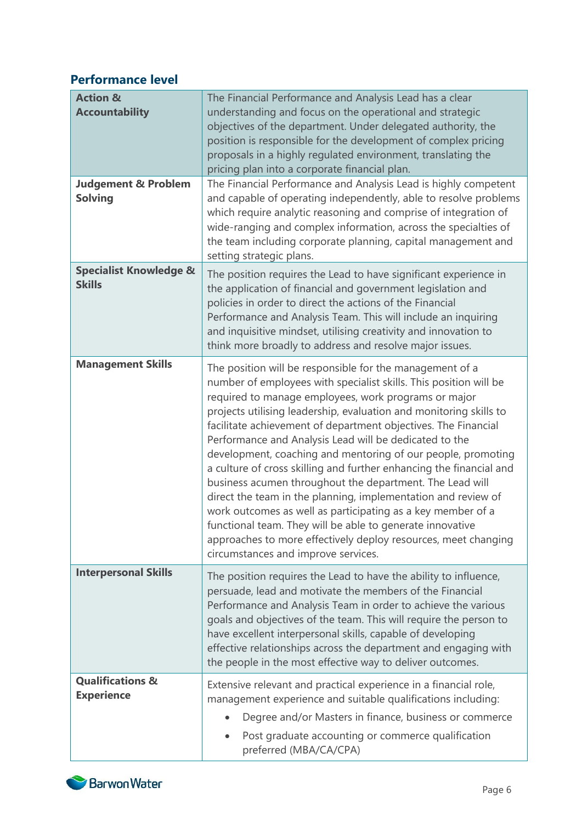# **Performance level**

| <b>Action &amp;</b><br><b>Accountability</b>       | The Financial Performance and Analysis Lead has a clear<br>understanding and focus on the operational and strategic<br>objectives of the department. Under delegated authority, the<br>position is responsible for the development of complex pricing<br>proposals in a highly regulated environment, translating the<br>pricing plan into a corporate financial plan.                                                                                                                                                                                                                                                                                                                                                                                                                                                                                                                           |
|----------------------------------------------------|--------------------------------------------------------------------------------------------------------------------------------------------------------------------------------------------------------------------------------------------------------------------------------------------------------------------------------------------------------------------------------------------------------------------------------------------------------------------------------------------------------------------------------------------------------------------------------------------------------------------------------------------------------------------------------------------------------------------------------------------------------------------------------------------------------------------------------------------------------------------------------------------------|
| <b>Judgement &amp; Problem</b><br><b>Solving</b>   | The Financial Performance and Analysis Lead is highly competent<br>and capable of operating independently, able to resolve problems<br>which require analytic reasoning and comprise of integration of<br>wide-ranging and complex information, across the specialties of<br>the team including corporate planning, capital management and<br>setting strategic plans.                                                                                                                                                                                                                                                                                                                                                                                                                                                                                                                           |
| <b>Specialist Knowledge &amp;</b><br><b>Skills</b> | The position requires the Lead to have significant experience in<br>the application of financial and government legislation and<br>policies in order to direct the actions of the Financial<br>Performance and Analysis Team. This will include an inquiring<br>and inquisitive mindset, utilising creativity and innovation to<br>think more broadly to address and resolve major issues.                                                                                                                                                                                                                                                                                                                                                                                                                                                                                                       |
| <b>Management Skills</b>                           | The position will be responsible for the management of a<br>number of employees with specialist skills. This position will be<br>required to manage employees, work programs or major<br>projects utilising leadership, evaluation and monitoring skills to<br>facilitate achievement of department objectives. The Financial<br>Performance and Analysis Lead will be dedicated to the<br>development, coaching and mentoring of our people, promoting<br>a culture of cross skilling and further enhancing the financial and<br>business acumen throughout the department. The Lead will<br>direct the team in the planning, implementation and review of<br>work outcomes as well as participating as a key member of a<br>functional team. They will be able to generate innovative<br>approaches to more effectively deploy resources, meet changing<br>circumstances and improve services. |
| <b>Interpersonal Skills</b>                        | The position requires the Lead to have the ability to influence,<br>persuade, lead and motivate the members of the Financial<br>Performance and Analysis Team in order to achieve the various<br>goals and objectives of the team. This will require the person to<br>have excellent interpersonal skills, capable of developing<br>effective relationships across the department and engaging with<br>the people in the most effective way to deliver outcomes.                                                                                                                                                                                                                                                                                                                                                                                                                                 |
| <b>Qualifications &amp;</b><br><b>Experience</b>   | Extensive relevant and practical experience in a financial role,<br>management experience and suitable qualifications including:<br>Degree and/or Masters in finance, business or commerce<br>$\bullet$<br>Post graduate accounting or commerce qualification<br>preferred (MBA/CA/CPA)                                                                                                                                                                                                                                                                                                                                                                                                                                                                                                                                                                                                          |

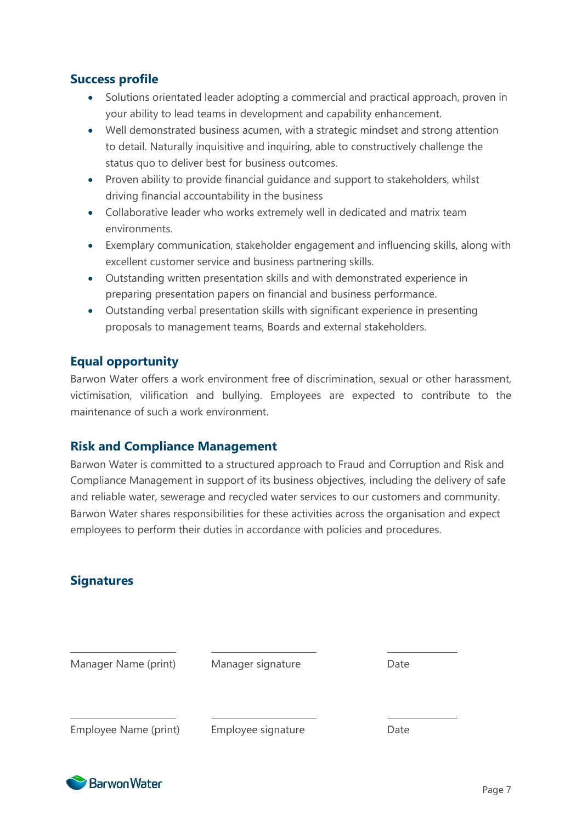## **Success profile**

- Solutions orientated leader adopting a commercial and practical approach, proven in your ability to lead teams in development and capability enhancement.
- Well demonstrated business acumen, with a strategic mindset and strong attention to detail. Naturally inquisitive and inquiring, able to constructively challenge the status quo to deliver best for business outcomes.
- Proven ability to provide financial quidance and support to stakeholders, whilst driving financial accountability in the business
- Collaborative leader who works extremely well in dedicated and matrix team environments.
- Exemplary communication, stakeholder engagement and influencing skills, along with excellent customer service and business partnering skills.
- Outstanding written presentation skills and with demonstrated experience in preparing presentation papers on financial and business performance.
- Outstanding verbal presentation skills with significant experience in presenting proposals to management teams, Boards and external stakeholders.

## **Equal opportunity**

Barwon Water offers a work environment free of discrimination, sexual or other harassment, victimisation, vilification and bullying. Employees are expected to contribute to the maintenance of such a work environment.

## **Risk and Compliance Management**

Barwon Water is committed to a structured approach to Fraud and Corruption and Risk and Compliance Management in support of its business objectives, including the delivery of safe and reliable water, sewerage and recycled water services to our customers and community. Barwon Water shares responsibilities for these activities across the organisation and expect employees to perform their duties in accordance with policies and procedures.

## **Signatures**

| Manager Name (print)  | Manager signature  | Date |
|-----------------------|--------------------|------|
| Employee Name (print) | Employee signature | Date |